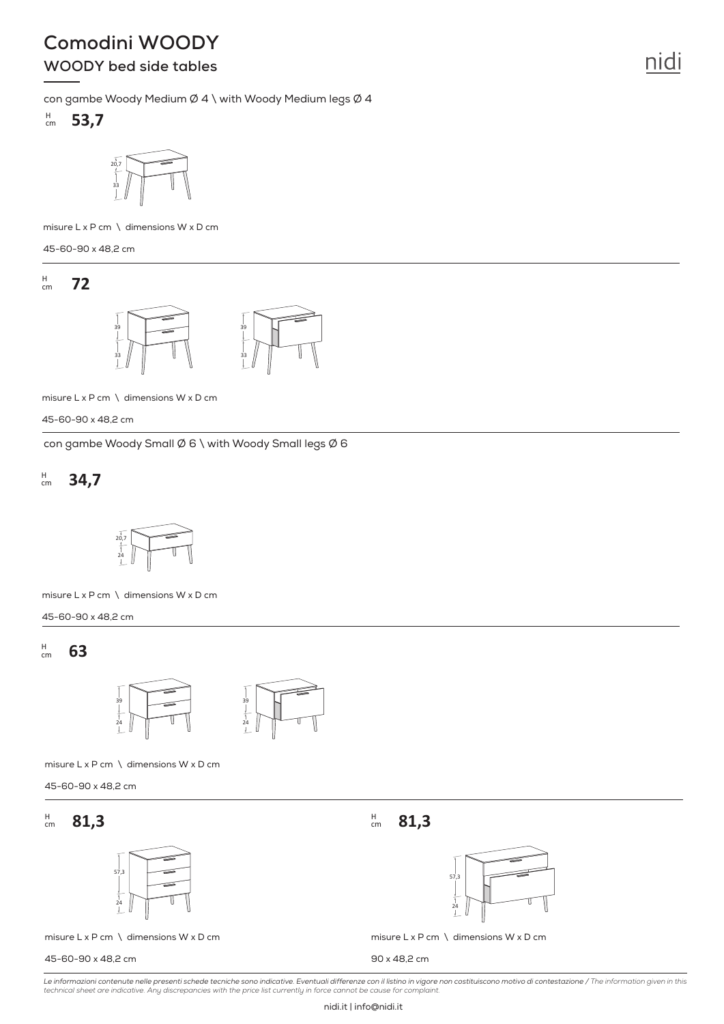# **Comodini WOODY**

# **WOODY bed side tables**

con gambe Woody Medium Ø 4 \ with Woody Medium legs Ø 4





misure L x P cm \ dimensions W x D cm

45-60-90 x 48,2 cm

**72** H cm



misure L x P cm \ dimensions W x D cm

45-60-90 x 48,2 cm

con gambe Woody Small Ø 6 \ with Woody Small legs Ø 6

#### **34,7** H cm



misure L x P cm \ dimensions W x D cm

45-60-90 x 48,2 cm

**63** H cm



misure L x P cm \ dimensions W x D cm

45-60-90 x 48,2 cm

#### **81,3**  $H$ <sub>cm</sub>  $\frac{H}{cm}$  81,3



misure  $L \times P$  cm  $\setminus$  dimensions W  $\times$  D cm

45-60-90 x 48,2 cm

**81,3**  $H_{cm}$ 



misure  $L \times P$  cm  $\setminus$  dimensions W  $\times$  D cm

90 x 48,2 cm

*Le informazioni contenute nelle presenti schede tecniche sono indicative. Eventuali differenze con il listino in vigore non costituiscono motivo di contestazione / The information given in this technical sheet are indicative. Any discrepancies with the price list currently in force cannot be cause for complaint.*

nidi